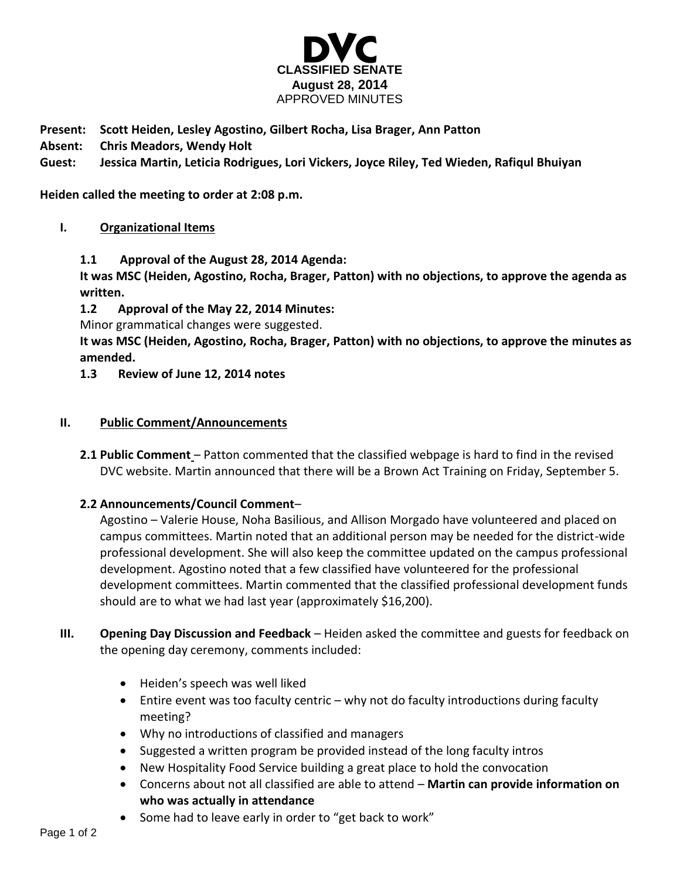

- **Present: Scott Heiden, Lesley Agostino, Gilbert Rocha, Lisa Brager, Ann Patton**
- **Absent: Chris Meadors, Wendy Holt**
- **Guest: Jessica Martin, Leticia Rodrigues, Lori Vickers, Joyce Riley, Ted Wieden, Rafiqul Bhuiyan**

**Heiden called the meeting to order at 2:08 p.m.**

## **I. Organizational Items**

**1.1 Approval of the August 28, 2014 Agenda:**

**It was MSC (Heiden, Agostino, Rocha, Brager, Patton) with no objections, to approve the agenda as written.**

**1.2 Approval of the May 22, 2014 Minutes:**

Minor grammatical changes were suggested.

**It was MSC (Heiden, Agostino, Rocha, Brager, Patton) with no objections, to approve the minutes as amended.**

**1.3 Review of June 12, 2014 notes**

## **II. Public Comment/Announcements**

**2.1 Public Comment** – Patton commented that the classified webpage is hard to find in the revised DVC website. Martin announced that there will be a Brown Act Training on Friday, September 5.

## **2.2 Announcements/Council Comment**–

Agostino – Valerie House, Noha Basilious, and Allison Morgado have volunteered and placed on campus committees. Martin noted that an additional person may be needed for the district-wide professional development. She will also keep the committee updated on the campus professional development. Agostino noted that a few classified have volunteered for the professional development committees. Martin commented that the classified professional development funds should are to what we had last year (approximately \$16,200).

- **III. Opening Day Discussion and Feedback** Heiden asked the committee and guests for feedback on the opening day ceremony, comments included:
	- Heiden's speech was well liked
	- Entire event was too faculty centric why not do faculty introductions during faculty meeting?
	- Why no introductions of classified and managers
	- Suggested a written program be provided instead of the long faculty intros
	- New Hospitality Food Service building a great place to hold the convocation
	- Concerns about not all classified are able to attend **Martin can provide information on who was actually in attendance**
	- Some had to leave early in order to "get back to work"